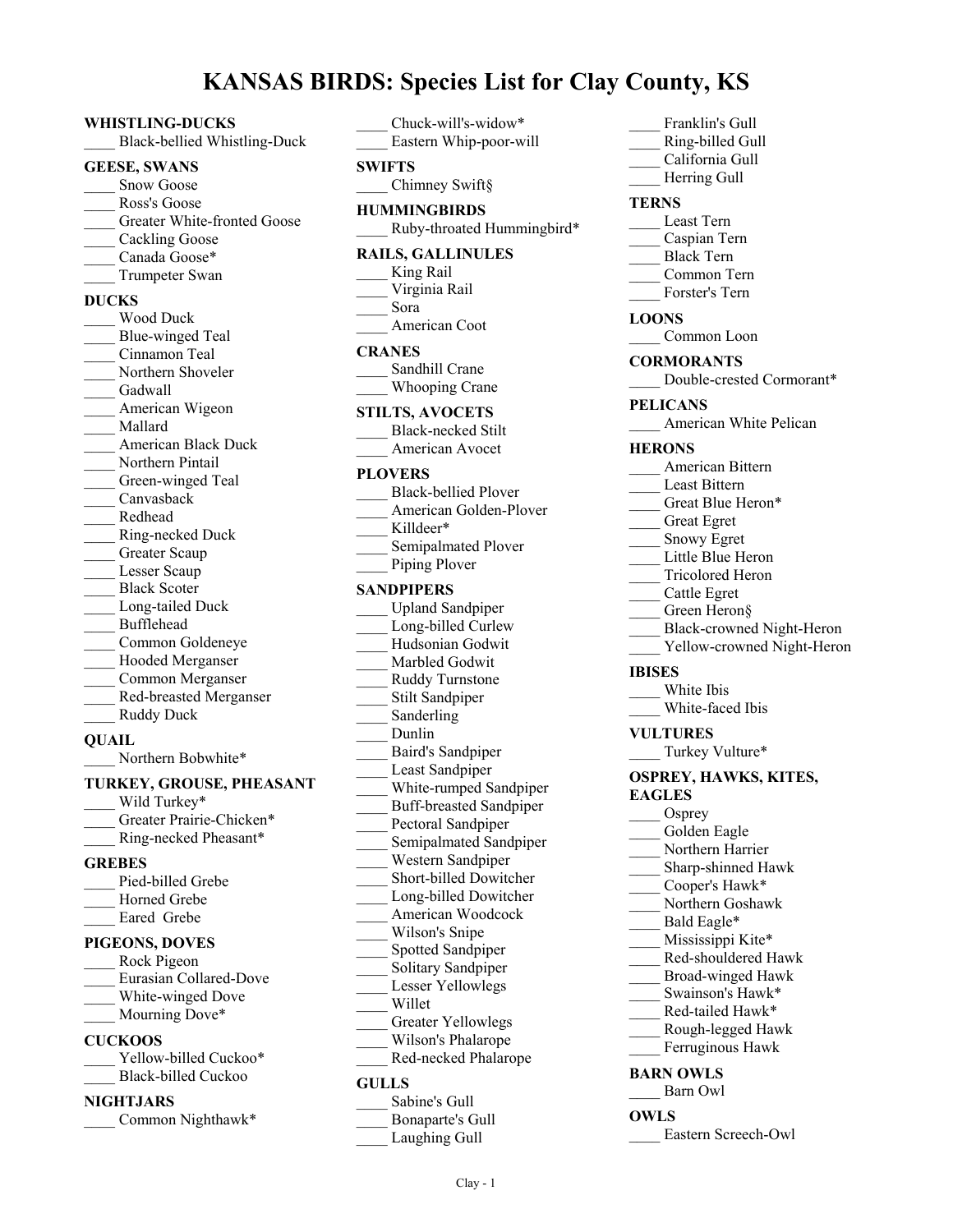## **KANSAS BIRDS: Species List for Clay County, KS**

#### **WHISTLING-DUCKS**

\_\_\_\_ Black-bellied Whistling-Duck

#### **GEESE, SWANS**

- Snow Goose
- \_\_\_\_ Ross's Goose
- Greater White-fronted Goose
- Cackling Goose
- Canada Goose\*
- Trumpeter Swan

## **DUCKS**

\_\_\_\_ Wood Duck Blue-winged Teal \_\_\_\_ Cinnamon Teal Northern Shoveler Gadwall American Wigeon \_\_\_\_ Mallard \_\_\_\_ American Black Duck Northern Pintail Green-winged Teal \_\_\_\_ Canvasback \_\_\_\_ Redhead \_\_\_\_ Ring-necked Duck Greater Scaup Lesser Scaup Black Scoter Long-tailed Duck \_\_\_\_ Bufflehead \_\_\_\_ Common Goldeneye \_\_\_\_ Hooded Merganser \_\_\_\_ Common Merganser \_\_\_\_ Red-breasted Merganser Ruddy Duck

## **QUAIL**

Northern Bobwhite\*

## **TURKEY, GROUSE, PHEASANT**

Wild Turkey\* Greater Prairie-Chicken\* \_\_\_\_ Ring-necked Pheasant\*

#### **GREBES**

Pied-billed Grebe Horned Grebe Eared Grebe

## **PIGEONS, DOVES**

- \_\_\_\_ Rock Pigeon \_\_\_\_ Eurasian Collared-Dove White-winged Dove
- Mourning Dove\*

#### **CUCKOOS**

Yellow-billed Cuckoo\* \_\_\_\_ Black-billed Cuckoo

#### **NIGHTJARS**

Common Nighthawk\*

\_\_\_\_ Chuck-will's-widow\* \_\_\_\_ Eastern Whip-poor-will **SWIFTS** \_\_\_\_ Chimney Swift§ **HUMMINGBIRDS** Ruby-throated Hummingbird\* **RAILS, GALLINULES** King Rail \_\_\_\_ Virginia Rail \_\_\_\_ Sora American Coot **CRANES** Sandhill Crane Whooping Crane **STILTS, AVOCETS** \_\_\_\_ Black-necked Stilt American Avocet **PLOVERS** \_\_\_\_ Black-bellied Plover American Golden-Plover Killdeer\* Semipalmated Plover Piping Plover **SANDPIPERS** Upland Sandpiper Long-billed Curlew \_\_\_\_ Hudsonian Godwit Marbled Godwit \_\_\_\_ Ruddy Turnstone Stilt Sandpiper Sanderling \_\_\_\_ Dunlin \_\_\_\_ Baird's Sandpiper Least Sandpiper White-rumped Sandpiper Buff-breasted Sandpiper Pectoral Sandpiper Semipalmated Sandpiper \_\_\_\_ Western Sandpiper \_\_\_\_ Short-billed Dowitcher Long-billed Dowitcher \_\_\_\_ American Woodcock Wilson's Snipe Spotted Sandpiper Solitary Sandpiper Lesser Yellowlegs \_\_\_\_ Willet Greater Yellowlegs \_\_\_\_ Wilson's Phalarope \_\_\_\_ Red-necked Phalarope **GULLS** Sabine's Gull

# \_\_\_\_ Bonaparte's Gull Laughing Gull

| Franklin's Gull                                      |
|------------------------------------------------------|
| Ring-billed Gull                                     |
| California Gull                                      |
| Herring Gull                                         |
|                                                      |
| <b>TERNS</b>                                         |
| Least Tern                                           |
| Caspian Tern<br>Black Tern                           |
|                                                      |
| Common Tern                                          |
| Forster's Tern                                       |
| <b>LOONS</b>                                         |
| Common Loon                                          |
| <b>CORMORANTS</b>                                    |
| Double-crested Cormorant*                            |
|                                                      |
| <b>PELICANS</b>                                      |
| American White Pelican                               |
| <b>HERONS</b>                                        |
| American Bittern                                     |
| Least Bittern                                        |
| Great Blue Heron*                                    |
| $\frac{1}{2}$ Great Egret                            |
| Snowy Egret<br>Little Blue Heron<br>Tricolored Heron |
|                                                      |
|                                                      |
| Cattle Egret                                         |
| $\frac{1}{\sqrt{2}}$ Green Heron §                   |
| Black-crowned Night-Heron                            |
| Yellow-crowned Night-Heron                           |
| IBISES                                               |
| White Ibis                                           |
| White-faced Ibis                                     |
|                                                      |
| <b>VULTURES</b>                                      |
| Turkey Vulture*                                      |
| <b>OSPREY, HAWKS, KITES,</b>                         |
| EAGLES                                               |
| Osprey                                               |
| Golden Eagle                                         |
| Northern Harrier                                     |
| Sharp-shinned Hawk                                   |
| Cooper's Hawk*                                       |
| Northern Goshawk                                     |
| Bald Eagle*                                          |
| Mississippi Kite*                                    |
| Red-shouldered Hawk                                  |
| <b>Broad-winged Hawk</b>                             |
| Swainson's Hawk*                                     |
| Red-tailed Hawk*                                     |
| Rough-legged Hawk                                    |
| Ferruginous Hawk                                     |
| <b>BARN OWLS</b>                                     |
| Barn Owl                                             |
|                                                      |

## **OWLS**

Eastern Screech-Owl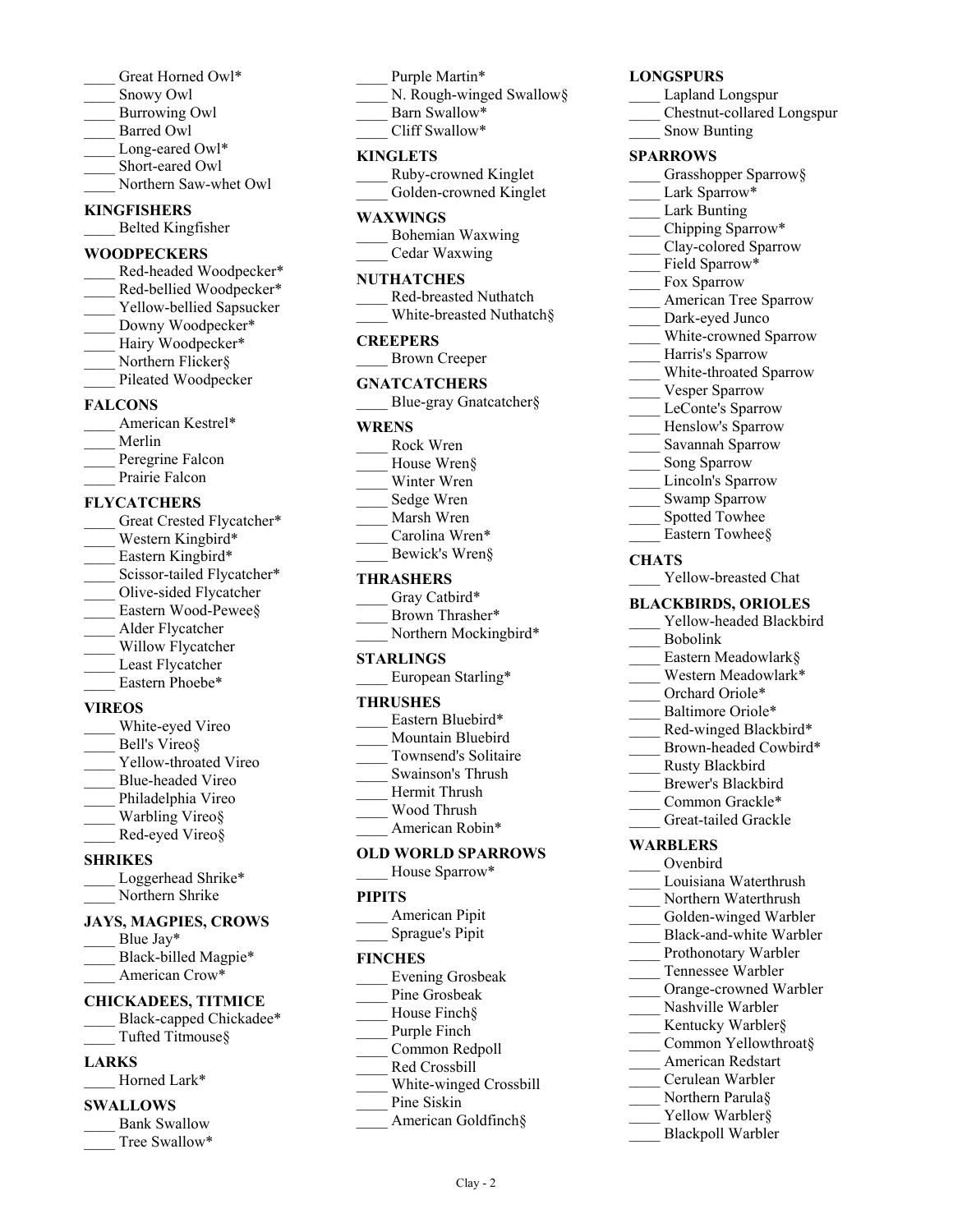- Great Horned Owl\*
- \_\_\_\_ Snowy Owl
- \_\_\_\_ Burrowing Owl
- Barred Owl
- Long-eared Owl\*
- Short-eared Owl
- Northern Saw-whet Owl

# **KINGFISHERS**

\_\_\_\_ Belted Kingfisher

## **WOODPECKERS**

- \_\_\_\_ Red-headed Woodpecker\* \_\_\_\_ Red-bellied Woodpecker\*
- Yellow-bellied Sapsucker
- Downy Woodpecker\*
- Hairy Woodpecker\*
- Northern Flicker§
- Pileated Woodpecker

## **FALCONS**

American Kestrel\* \_\_\_\_ Merlin Peregrine Falcon Prairie Falcon

## **FLYCATCHERS**

Great Crested Flycatcher\* Western Kingbird\* Eastern Kingbird\* Scissor-tailed Flycatcher\* \_\_\_\_ Olive-sided Flycatcher Eastern Wood-Pewee§ \_\_\_\_ Alder Flycatcher Willow Flycatcher Least Flycatcher Eastern Phoebe\*

## **VIREOS**

White-eyed Vireo Bell's Vireo§ Yellow-throated Vireo \_\_\_\_ Blue-headed Vireo Philadelphia Vireo Warbling Vireo§ Red-eyed Vireo§

## **SHRIKES**

| Loggerhead Shrike* |
|--------------------|
| Northern Shrike    |

## **JAYS, MAGPIES, CROWS**

- Blue Jay\* Black-billed Magpie\* American Crow\*
- **CHICKADEES, TITMICE**
- Black-capped Chickadee\* \_\_\_\_ Tufted Titmouse§
- **LARKS**
	- Horned Lark\*

## **SWALLOWS**

- Bank Swallow
- Tree Swallow\*
- Purple Martin\* N. Rough-winged Swallow§ Barn Swallow\*
- Cliff Swallow\*

## **KINGLETS**

\_\_\_\_ Ruby-crowned Kinglet Golden-crowned Kinglet

## **WAXWlNGS**

\_\_\_\_ Bohemian Waxwing \_\_\_\_ Cedar Waxwing

## **NUTHATCHES**

\_\_\_\_ Red-breasted Nuthatch White-breasted Nuthatch§

## **CREEPERS**

\_\_\_\_ Brown Creeper

## **GNATCATCHERS**

Blue-gray Gnatcatcher§

## **WRENS**

- \_\_\_\_ Rock Wren
- House Wren§
- Winter Wren
- Sedge Wren
- \_\_\_\_ Marsh Wren Carolina Wren\*
- Bewick's Wren§

## **THRASHERS**

|  | Gray Catbird* |  |
|--|---------------|--|
|  | T1            |  |

Brown Thrasher\* \_Northern Mockingbird\*

## **STARLINGS**

European Starling\*

## **THRUSHES**

- Eastern Bluebird\*
- Mountain Bluebird \_\_\_\_ Townsend's Solitaire
- \_\_\_\_ Swainson's Thrush
- \_\_\_\_ Hermit Thrush
- \_\_\_\_ Wood Thrush
- American Robin\*

## **OLD WORLD SPARROWS**

House Sparrow\*

## **PIPITS**

| American Pipit  |  |
|-----------------|--|
| Sprague's Pipit |  |

## **FINCHES**

- \_\_\_\_ Evening Grosbeak
- Pine Grosbeak
- House Finch§ Purple Finch
- Common Redpoll
- \_\_\_\_ Red Crossbill
- \_\_\_\_ White-winged Crossbill
- Pine Siskin
- American Goldfinch§

Clay - 2

## **LONGSPURS**

- \_\_\_\_ Lapland Longspur
- \_\_\_\_ Chestnut-collared Longspur
- Snow Bunting

## **SPARROWS**

- Grasshopper Sparrow§
- Lark Sparrow\*
- Lark Bunting
- Chipping Sparrow\*
- Clay-colored Sparrow
- Field Sparrow\*
- Fox Sparrow
- American Tree Sparrow
- Dark-eyed Junco
- White-crowned Sparrow
- Harris's Sparrow
- \_\_\_\_ White-throated Sparrow
- Vesper Sparrow
- LeConte's Sparrow
- Henslow's Sparrow
- \_\_\_\_ Savannah Sparrow
- Song Sparrow
- Lincoln's Sparrow Swamp Sparrow

\_\_\_\_ Bobolink

**CHATS**

Spotted Towhee Eastern Towhee§

Yellow-breasted Chat **BLACKBIRDS, ORIOLES** Yellow-headed Blackbird

> Eastern Meadowlark§ Western Meadowlark\* Orchard Oriole\* Baltimore Oriole\* Red-winged Blackbird\* Brown-headed Cowbird\*

\_\_\_\_ Rusty Blackbird \_\_\_\_ Brewer's Blackbird Common Grackle\* Great-tailed Grackle

\_\_\_\_ Louisiana Waterthrush Northern Waterthrush Golden-winged Warbler Black-and-white Warbler Prothonotary Warbler \_\_\_\_ Tennessee Warbler \_\_\_\_ Orange-crowned Warbler Nashville Warbler Kentucky Warbler§ Common Yellowthroat§ \_\_\_\_ American Redstart \_\_\_\_ Cerulean Warbler Northern Parula§ Yellow Warbler§ \_\_\_\_ Blackpoll Warbler

**WARBLERS** \_\_\_\_ Ovenbird